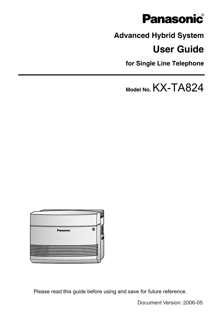

# **Advanced Hybrid System**

#### **User Guide**

**for Single Line Telephone**

**Model No.**KX-TA824



Please read this guide before using and save for future reference.

Document Version: 2006-05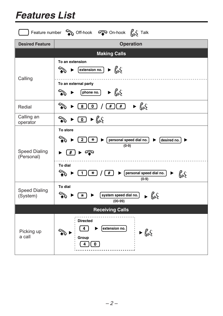| Feature number $\circledast$ Off-hook $\circledast$ On-hook $\int_{0}^{n}$ Talk |                                                                                                                                                                                       |  |  |  |  |
|---------------------------------------------------------------------------------|---------------------------------------------------------------------------------------------------------------------------------------------------------------------------------------|--|--|--|--|
| <b>Desired Feature</b>                                                          | <b>Operation</b>                                                                                                                                                                      |  |  |  |  |
|                                                                                 | <b>Making Calls</b>                                                                                                                                                                   |  |  |  |  |
| Calling                                                                         | To an extension<br>$\left[\frac{extension no.}{\sqrt{m}}\right] \rightarrow \left[\frac{m}{m}\right]$<br>ষী<br>To an external party<br>$\blacktriangleright$ fus<br>ষী<br>[phone no.] |  |  |  |  |
| Redial                                                                          | $\blacktriangleright$ fig.<br>∕<br>$\overline{\mathbf{0}}$<br>$\left( \frac{1}{2} \right)$<br>$\overline{\mathbf{8}}$<br>$\overline{\#}$                                              |  |  |  |  |
| Calling an<br>operator                                                          | $\triangleright$ 0 $\triangleright$ $\mathcal{C}_{\omega}$<br>☜                                                                                                                       |  |  |  |  |
| <b>Speed Dialing</b><br>(Personal)                                              | To store<br>° ⊁<br>$\sqrt{2}$<br>personal speed dial no.<br>$\overline{\textbf{H}}$<br>$\lceil$ desired no.<br>$\blacktriangleright$<br>$(0-9)$<br>► ক<br>$\overline{\#}$             |  |  |  |  |
|                                                                                 | To dial<br>personal speed dial no.<br>ବୁ<br>$\overline{\ast}$<br>#<br>1<br>ь<br>ku:<br>$(0-9)$                                                                                        |  |  |  |  |
| <b>Speed Dialing</b><br>(System)                                                | To dial<br>system speed dial no.<br>$\blacktriangleright$ files<br>$\rightarrow$<br>$\overline{\ast}$<br>$(00-99)$                                                                    |  |  |  |  |
| <b>Receiving Calls</b>                                                          |                                                                                                                                                                                       |  |  |  |  |
| Picking up<br>a call                                                            | <b>Directed</b><br>extension no.<br>4<br>$\blacktriangleright$ files<br>Group                                                                                                         |  |  |  |  |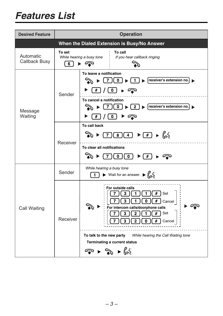| <b>Desired Feature</b>     | <b>Operation</b>                            |                                                                                                                                                                                                                                                                                                                     |  |  |  |  |
|----------------------------|---------------------------------------------|---------------------------------------------------------------------------------------------------------------------------------------------------------------------------------------------------------------------------------------------------------------------------------------------------------------------|--|--|--|--|
|                            | When the Dialed Extension is Busy/No Answer |                                                                                                                                                                                                                                                                                                                     |  |  |  |  |
| Automatic<br>Callback Busy | To set<br>6                                 | To call<br>While hearing a busy tone<br>If you hear callback ringing<br>▶ ∕⊋                                                                                                                                                                                                                                        |  |  |  |  |
| Message<br>Waiting         | Sender                                      | To leave a notification<br>receiver's extension no.<br>ি ∕ি<br>7 II 0                                                                                                                                                                                                                                               |  |  |  |  |
|                            |                                             | To cancel a notification<br>$\triangleright$ receiver's extension no.<br>رىر<br>0 <sup>1</sup><br>$\overline{2}$<br>7<br>0<br>▶ কু<br>#                                                                                                                                                                             |  |  |  |  |
|                            | Receiver                                    | To call back<br>$\blacktriangleright$ $\Box$ $\blacktriangleright$ $\Box$<br>$\overline{4}$<br>$\overline{\mathbf{8}}$<br>$\overline{7}$<br>To clear all notifications<br>$\overline{\mathfrak{o}}$<br>$\overline{\mathfrak{o}}$<br>$\left( \frac{1}{2} \right)$<br>ទ                                               |  |  |  |  |
| Call Waiting               | Sender                                      | While hearing a busy tone<br>▶ Wait for an answer. ▶ $\mathcal{L}_{\mathsf{U}}$<br>1                                                                                                                                                                                                                                |  |  |  |  |
|                            | Receiver                                    | For outside calls<br>Set<br>#<br>3<br>$\#$<br>3<br>0<br>1<br>Cancel<br>For intercom calls/doorphone calls<br>Set<br>#<br>3<br>2<br>#<br>Cancel<br>To talk to the new party<br>While hearing the Call Waiting tone<br><b>Terminating a current status</b><br>$\blacktriangleright \gg \blacktriangleright \text{Ks}$ |  |  |  |  |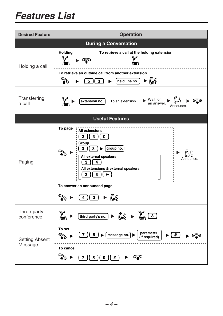| <b>Desired Feature</b>           | <b>Operation</b>                                                                                                                                                                                                                                                                                                                                                                                                                                                                                                |  |  |  |
|----------------------------------|-----------------------------------------------------------------------------------------------------------------------------------------------------------------------------------------------------------------------------------------------------------------------------------------------------------------------------------------------------------------------------------------------------------------------------------------------------------------------------------------------------------------|--|--|--|
|                                  | <b>During a Conversation</b>                                                                                                                                                                                                                                                                                                                                                                                                                                                                                    |  |  |  |
| Holding a call                   | <b>Holding</b><br>To retrieve a call at the holding extension<br>س۹<br>Ψ<br>ුතු                                                                                                                                                                                                                                                                                                                                                                                                                                 |  |  |  |
|                                  | To retrieve an outside call from another extension<br>$\begin{picture}(20,5) \put(0,0) {\line(1,0){15}} \put(0,0) {\line(1,0){15}} \put(0,0) {\line(1,0){15}} \put(0,0) {\line(1,0){15}} \put(0,0) {\line(1,0){15}} \put(0,0) {\line(1,0){15}} \put(0,0) {\line(1,0){15}} \put(0,0) {\line(1,0){15}} \put(0,0) {\line(1,0){15}} \put(0,0) {\line(1,0){15}} \put(0,0) {\line(1,0){15}} \put(0,0) {\line(1,0){15}} \put(0,0$<br>$\left[\text{held line no.}\right] \rightarrow \left[\text{m/s}\right]$<br>5<br>3 |  |  |  |
| Transferring<br>a call           | $\triangleright$ Wait for $\bigcup_{\alpha \in \mathcal{C}} \mathcal{C}$ an answer.<br>To an extension<br>extension no.                                                                                                                                                                                                                                                                                                                                                                                         |  |  |  |
|                                  | <b>Useful Features</b>                                                                                                                                                                                                                                                                                                                                                                                                                                                                                          |  |  |  |
| Paging                           | To page<br><b>All extensions</b><br>$\mathbf{3}$<br>3<br>0<br>Group<br>$\overline{\mathbf{3}}$<br>group no.<br>3<br>All external speakers<br>Announce.<br>3<br>4<br>All extensions & external speakers<br>3<br>3<br>⋇<br>To answer an announced page<br>$\frac{4}{3}$ $\rightarrow \frac{6}{3}$                                                                                                                                                                                                                 |  |  |  |
| Three-party<br>conference        | $\left[\text{third party's no.}\right] \rightarrow \left(\text{unit} \atop \text{unit} \right) \rightarrow \text{unit} \atop \text{unit} \right)$                                                                                                                                                                                                                                                                                                                                                               |  |  |  |
| <b>Setting Absent</b><br>Message | To set<br>parameter<br>(if required)<br>$5\phantom{.0}$<br>$\bigcup$ $\blacktriangleright$ $\big\lceil$ message no. $\big\rceil \blacktriangleright$<br>$($ # $)$<br>৲ ▶                                                                                                                                                                                                                                                                                                                                        |  |  |  |
|                                  | To cancel<br>$\overline{\#}$<br>$\overline{5}$<br>$\overline{\mathbf{0}}$<br>7                                                                                                                                                                                                                                                                                                                                                                                                                                  |  |  |  |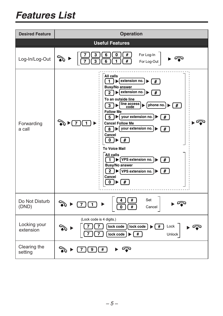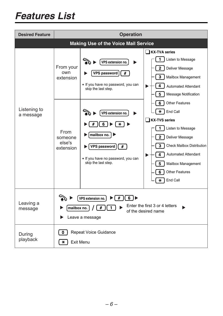| <b>Desired Feature</b>    | <b>Operation</b>                                                                                                            |                                                                                                                                                                                                                                                   |                                                                                                                                                                                                                                                                                                                                                                                                                                                                               |  |  |  |
|---------------------------|-----------------------------------------------------------------------------------------------------------------------------|---------------------------------------------------------------------------------------------------------------------------------------------------------------------------------------------------------------------------------------------------|-------------------------------------------------------------------------------------------------------------------------------------------------------------------------------------------------------------------------------------------------------------------------------------------------------------------------------------------------------------------------------------------------------------------------------------------------------------------------------|--|--|--|
|                           | <b>Making Use of the Voice Mail Service</b>                                                                                 |                                                                                                                                                                                                                                                   |                                                                                                                                                                                                                                                                                                                                                                                                                                                                               |  |  |  |
| Listening to<br>a message | From your<br>own<br>extension<br>From<br>someone<br>else's<br>extension                                                     | VPS extension no.<br><b>VPS password</b><br>#<br>· If you have no password, you can<br>skip the last step.<br>VPS extension no.<br>6<br>⋇<br>mailbox no.<br>#<br><b>VPS password</b><br>· If you have no password, you can<br>skip the last step. | □ KX-TVA series<br>1<br>Listen to Message<br>$\overline{2}$<br>Deliver Message<br>3<br>Mailbox Management<br>4<br><b>Automated Attendant</b><br>5<br><b>Message Notification</b><br>6<br><b>Other Features</b><br>₩<br>End Call<br><b>KX-TVS series</b><br>1<br>Listen to Message<br>$\overline{2}$<br>Deliver Message<br>3<br><b>Check Mailbox Distribution</b><br>4<br><b>Automated Attendant</b><br>5<br>Mailbox Management<br><b>Other Features</b><br>6<br>End Call<br>₩ |  |  |  |
| Leaving a<br>message      | 6<br>#<br>VPS extension no.<br>Enter the first 3 or 4 letters<br>#<br>mailbox no.<br>of the desired name<br>Leave a message |                                                                                                                                                                                                                                                   |                                                                                                                                                                                                                                                                                                                                                                                                                                                                               |  |  |  |
| During<br>playback        | <b>Repeat Voice Guidance</b><br>0<br><b>Exit Menu</b><br>⋇                                                                  |                                                                                                                                                                                                                                                   |                                                                                                                                                                                                                                                                                                                                                                                                                                                                               |  |  |  |